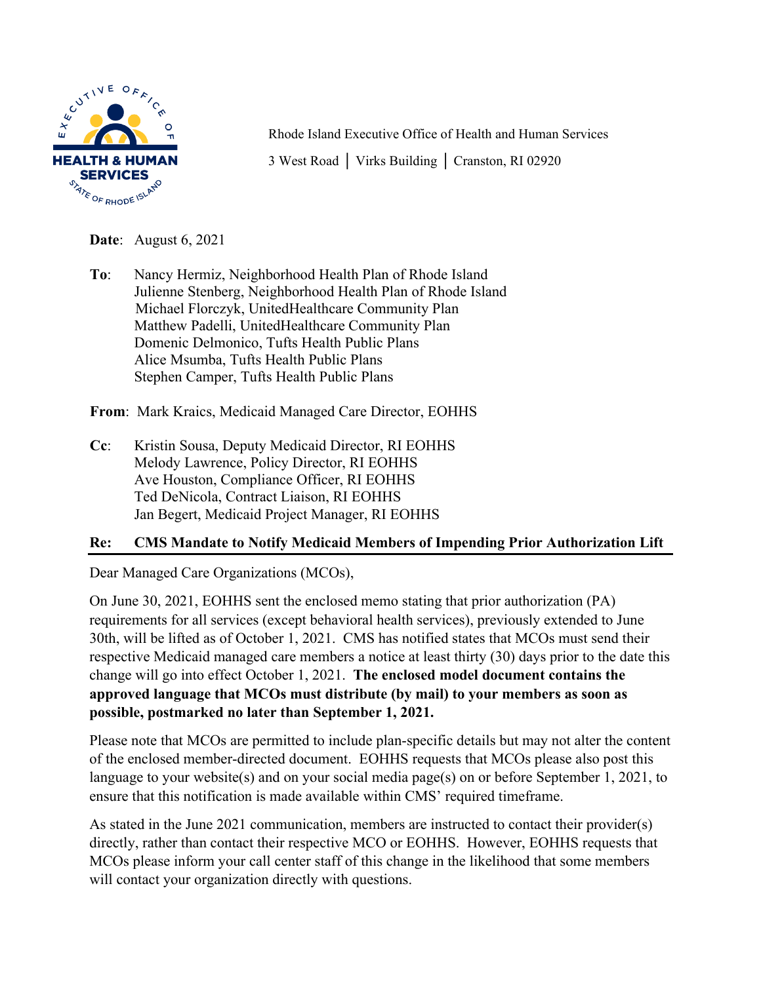

Rhode Island Executive Office of Health and Human Services 3 West Road | Virks Building | Cranston, RI 02920

**Date**: August 6, 2021

**To**: Nancy Hermiz, Neighborhood Health Plan of Rhode Island Julienne Stenberg, Neighborhood Health Plan of Rhode Island Michael Florczyk, UnitedHealthcare Community Plan Matthew Padelli, UnitedHealthcare Community Plan Domenic Delmonico, Tufts Health Public Plans Alice Msumba, Tufts Health Public Plans Stephen Camper, Tufts Health Public Plans

**From**: Mark Kraics, Medicaid Managed Care Director, EOHHS

**Cc**: Kristin Sousa, Deputy Medicaid Director, RI EOHHS Melody Lawrence, Policy Director, RI EOHHS Ave Houston, Compliance Officer, RI EOHHS Ted DeNicola, Contract Liaison, RI EOHHS Jan Begert, Medicaid Project Manager, RI EOHHS

## **Re: CMS Mandate to Notify Medicaid Members of Impending Prior Authorization Lift**

Dear Managed Care Organizations (MCOs),

On June 30, 2021, EOHHS sent the enclosed memo stating that prior authorization (PA) requirements for all services (except behavioral health services), previously extended to June 30th, will be lifted as of October 1, 2021. CMS has notified states that MCOs must send their respective Medicaid managed care members a notice at least thirty (30) days prior to the date this change will go into effect October 1, 2021. **The enclosed model document contains the approved language that MCOs must distribute (by mail) to your members as soon as possible, postmarked no later than September 1, 2021.** 

Please note that MCOs are permitted to include plan-specific details but may not alter the content of the enclosed member-directed document. EOHHS requests that MCOs please also post this language to your website(s) and on your social media page(s) on or before September 1, 2021, to ensure that this notification is made available within CMS' required timeframe.

As stated in the June 2021 communication, members are instructed to contact their provider(s) directly, rather than contact their respective MCO or EOHHS. However, EOHHS requests that MCOs please inform your call center staff of this change in the likelihood that some members will contact your organization directly with questions.